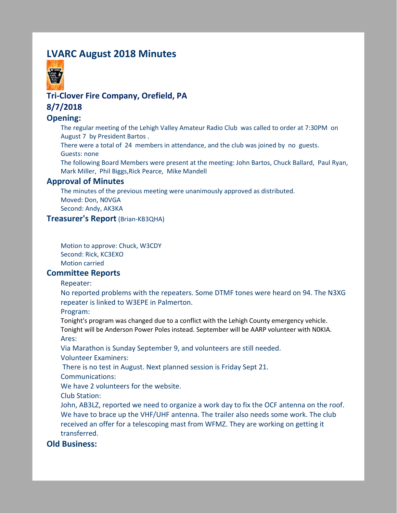# **LVARC August 2018 Minutes**



# **Tri-Clover Fire Company, Orefield, PA 8/7/2018**

# **Opening:**

The regular meeting of the Lehigh Valley Amateur Radio Club was called to order at 7:30PM on August 7 by President Bartos .

There were a total of 24 members in attendance, and the club was joined by no guests. Guests: none

The following Board Members were present at the meeting: John Bartos, Chuck Ballard, Paul Ryan, Mark Miller, Phil Biggs,Rick Pearce, Mike Mandell

### **Approval of Minutes**

The minutes of the previous meeting were unanimously approved as distributed. Moved: Don, N0VGA Second: Andy, AK3KA

### **Treasurer's Report** (Brian-KB3QHA)

Motion to approve: Chuck, W3CDY Second: Rick, KC3EXO Motion carried

#### **Committee Reports**

Repeater:

No reported problems with the repeaters. Some DTMF tones were heard on 94. The N3XG repeater is linked to W3EPE in Palmerton.

Program:

Tonight's program was changed due to a conflict with the Lehigh County emergency vehicle. Tonight will be Anderson Power Poles instead. September will be AARP volunteer with N0KIA. Ares:

Via Marathon is Sunday September 9, and volunteers are still needed. Volunteer Examiners:

There is no test in August. Next planned session is Friday Sept 21.

Communications:

We have 2 volunteers for the website.

Club Station:

John, AB3LZ, reported we need to organize a work day to fix the OCF antenna on the roof. We have to brace up the VHF/UHF antenna. The trailer also needs some work. The club received an offer for a telescoping mast from WFMZ. They are working on getting it transferred.

### **Old Business:**